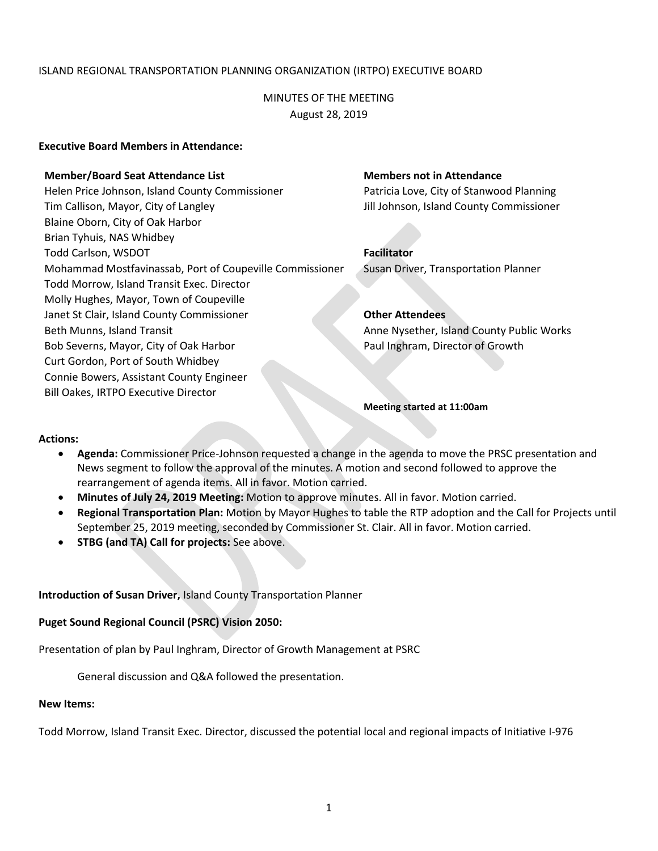# ISLAND REGIONAL TRANSPORTATION PLANNING ORGANIZATION (IRTPO) EXECUTIVE BOARD

MINUTES OF THE MEETING August 28, 2019

## **Executive Board Members in Attendance:**

### **Member/Board Seat Attendance List Members not in Attendance**

Helen Price Johnson, Island County Commissioner Patricia Love, City of Stanwood Planning Tim Callison, Mayor, City of Langley Jill Johnson, Island County Commissioner Blaine Oborn, City of Oak Harbor Brian Tyhuis, NAS Whidbey Todd Carlson, WSDOT **Facilitator** Mohammad Mostfavinassab, Port of Coupeville Commissioner Susan Driver, Transportation Planner Todd Morrow, Island Transit Exec. Director Molly Hughes, Mayor, Town of Coupeville Janet St Clair, Island County Commissioner **Other Attendees** Beth Munns, Island Transit Anne Nysether, Island County Public Works Bob Severns, Mayor, City of Oak Harbor Paul Inghram, Director of Growth Curt Gordon, Port of South Whidbey Connie Bowers, Assistant County Engineer Bill Oakes, IRTPO Executive Director

**Meeting started at 11:00am**

#### **Actions:**

- **Agenda:** Commissioner Price-Johnson requested a change in the agenda to move the PRSC presentation and News segment to follow the approval of the minutes. A motion and second followed to approve the rearrangement of agenda items. All in favor. Motion carried.
- **Minutes of July 24, 2019 Meeting:** Motion to approve minutes. All in favor. Motion carried.
- **Regional Transportation Plan:** Motion by Mayor Hughes to table the RTP adoption and the Call for Projects until September 25, 2019 meeting, seconded by Commissioner St. Clair. All in favor. Motion carried.
- **STBG (and TA) Call for projects:** See above.

#### **Introduction of Susan Driver,** Island County Transportation Planner

#### **Puget Sound Regional Council (PSRC) Vision 2050:**

Presentation of plan by Paul Inghram, Director of Growth Management at PSRC

General discussion and Q&A followed the presentation.

#### **New Items:**

Todd Morrow, Island Transit Exec. Director, discussed the potential local and regional impacts of Initiative I-976